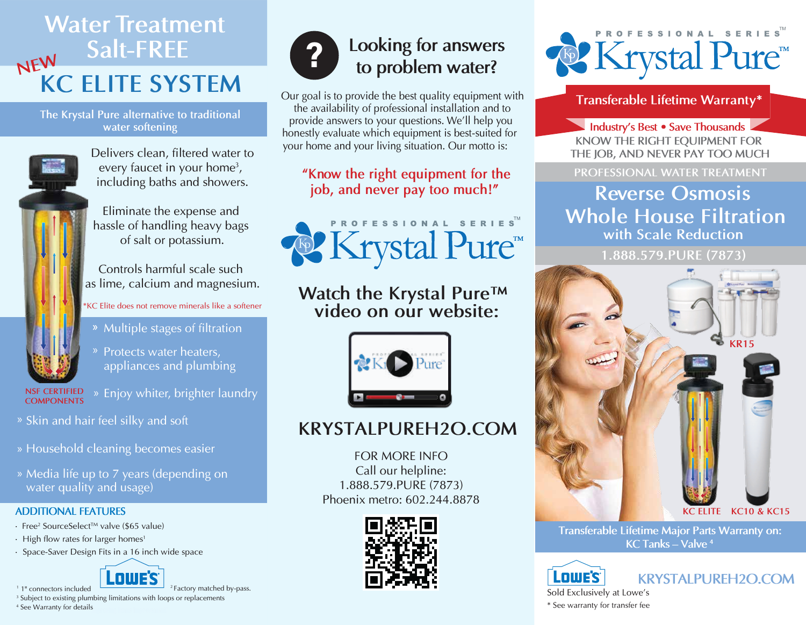## **KC ELITE SYSTEM Water Treatment Salt-FREE NEW**

**The Krystal Pure alternative to traditional water softening**



Delivers clean, filtered water to every faucet in your home<sup>3</sup>, including baths and showers.

Eliminate the expense and hassle of handling heavy bags of salt or potassium.

Controls harmful scale such as lime, calcium and magnesium.

#### \*KC Elite does not remove minerals like a softener

- » Multiple stages of filtration
	- » Protects water heaters, appliances and plumbing
- **COMPONENTS**
- **NSF CERTIFIED** » Enjoy whiter, brighter laundry
- » Skin and hair feel silky and soft
- » Household cleaning becomes easier
- » Media life up to 7 years (depending on water quality and usage)

#### **ADDITIONAL FEATURES**

- Free<sup>2</sup> SourceSelect™ valve (\$65 value)
- $\cdot$  High flow rates for larger homes<sup>1</sup>
- Space-Saver Design Fits in a 16 inch wide space



1 1" connectors included <sup>3</sup> Subject to existing plumbing limitations with loops or replacements 2 Factory matched by-pass. A subsequently for details and the second control of transfer fee warranty for transfer fee See Warranty for transfer fee



# **Looking for answers ? to problem water?**

**Transferable Lifetime Warranty\* Transferable Lifetime Warranty\***  the availability of professional installation and to provide answers to your questions. We'll help you honestly evaluate which equipment is best-suited for your home and your living situation. Our motto is:

### **"Know the right equipment for the job, and never pay too much!"**



## **Watch the Krystal Pure™ video on our website:**



## **KRYSTALPUREH2O.COM**

FOR MORE INFO Call our helpline: 1.888.579.PURE (7873) Phoenix metro: 602.244.8878





**KNOW THE RIGHT EQUIPMENT FOR THE JOB, AND NEVER PAY TOO MUCH Industry's Best ∙ Save Thousands**

**PROFESSIONAL WATER TREATMENT**

## **Reverse Osmosis Whole House Filtration with Scale Reduction**

**1.888.579.PURE (7873)**



**Transferable Lifetime Major Parts Warranty on: KC Tanks – Valve <sup>4</sup>**

**Lowe's** Sold Exclusively at Lowe's